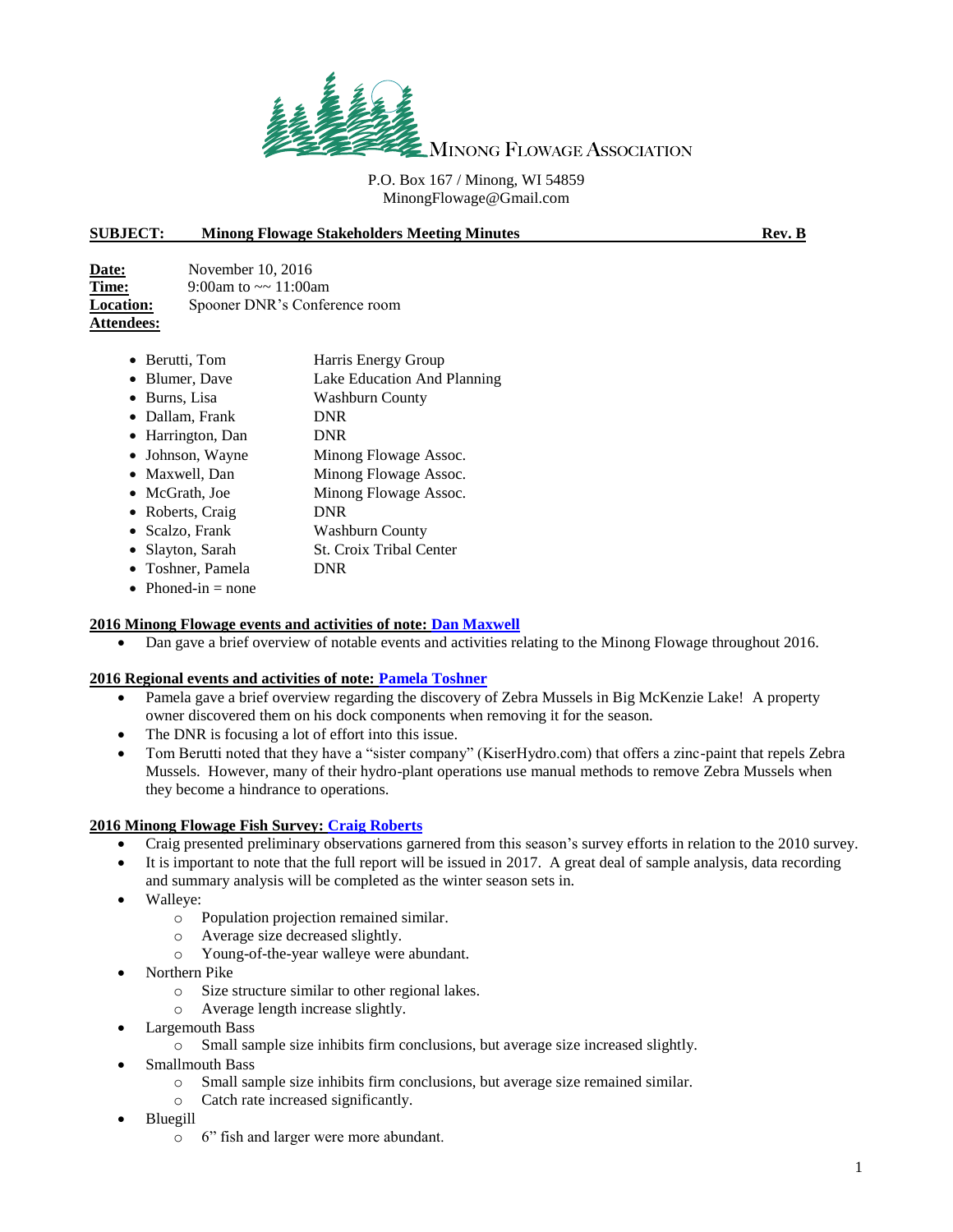

## P.O. Box 167 / Minong, WI 54859 MinongFlowage@Gmail.com

## **SUBJECT: Minong Flowage Stakeholders Meeting Minutes Rev. B**

| Date:             | November $10, 2016$           |
|-------------------|-------------------------------|
| Time:             | 9:00am to $\sim 11:00$ am     |
| <b>Location:</b>  | Spooner DNR's Conference room |
| <b>Attendees:</b> |                               |

- Berutti, Tom Harris Energy Group
- Blumer, Dave Lake Education And Planning
- Burns, Lisa Washburn County
- Dallam, Frank DNR
- Harrington, Dan DNR
- Johnson, Wayne Minong Flowage Assoc.
- Maxwell, Dan Minong Flowage Assoc.
- McGrath, Joe Minong Flowage Assoc.
- Roberts, Craig DNR
- Scalzo, Frank Washburn County
- Slayton, Sarah St. Croix Tribal Center
- Toshner, Pamela DNR
- Phoned-in  $=$  none

## **2016 Minong Flowage events and activities of note: Dan Maxwell**

• Dan gave a brief overview of notable events and activities relating to the Minong Flowage throughout 2016.

### **2016 Regional events and activities of note: Pamela Toshner**

- Pamela gave a brief overview regarding the discovery of Zebra Mussels in Big McKenzie Lake! A property owner discovered them on his dock components when removing it for the season.
- The DNR is focusing a lot of effort into this issue.
- Tom Berutti noted that they have a "sister company" (KiserHydro.com) that offers a zinc-paint that repels Zebra Mussels. However, many of their hydro-plant operations use manual methods to remove Zebra Mussels when they become a hindrance to operations.

### **2016 Minong Flowage Fish Survey: Craig Roberts**

- Craig presented preliminary observations garnered from this season's survey efforts in relation to the 2010 survey.
- It is important to note that the full report will be issued in 2017. A great deal of sample analysis, data recording and summary analysis will be completed as the winter season sets in.
- Walleye:
	- o Population projection remained similar.
	- o Average size decreased slightly.
	- o Young-of-the-year walleye were abundant.
- Northern Pike
	- o Size structure similar to other regional lakes.
	- o Average length increase slightly.
- Largemouth Bass
	- o Small sample size inhibits firm conclusions, but average size increased slightly.
- Smallmouth Bass
	- o Small sample size inhibits firm conclusions, but average size remained similar.
	- o Catch rate increased significantly.
- Bluegill
	- o 6" fish and larger were more abundant.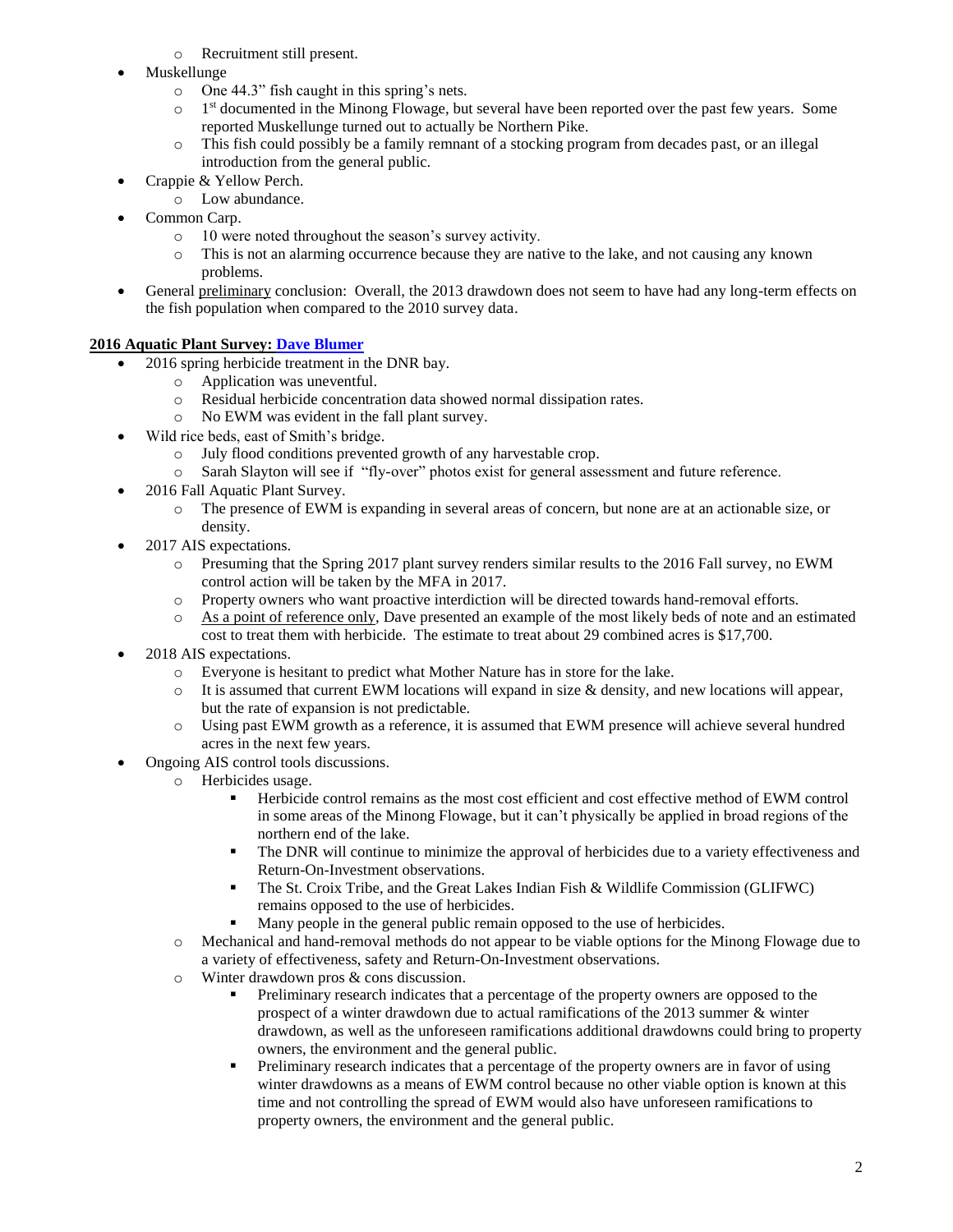- o Recruitment still present.
- Muskellunge
	- o One 44.3" fish caught in this spring's nets.
	- $\Omega$ 1<sup>st</sup> documented in the Minong Flowage, but several have been reported over the past few years. Some reported Muskellunge turned out to actually be Northern Pike.
	- o This fish could possibly be a family remnant of a stocking program from decades past, or an illegal introduction from the general public.
- Crappie & Yellow Perch.
	- o Low abundance.
- Common Carp.
	- o 10 were noted throughout the season's survey activity.
	- o This is not an alarming occurrence because they are native to the lake, and not causing any known problems.
- General preliminary conclusion: Overall, the 2013 drawdown does not seem to have had any long-term effects on the fish population when compared to the 2010 survey data.

# **2016 Aquatic Plant Survey: Dave Blumer**

- 2016 spring herbicide treatment in the DNR bay.
	- o Application was uneventful.
	- o Residual herbicide concentration data showed normal dissipation rates.
	- o No EWM was evident in the fall plant survey.
- Wild rice beds, east of Smith's bridge.
	- o July flood conditions prevented growth of any harvestable crop.
	- o Sarah Slayton will see if "fly-over" photos exist for general assessment and future reference.
- 2016 Fall Aquatic Plant Survey.
	- o The presence of EWM is expanding in several areas of concern, but none are at an actionable size, or density.
- 2017 AIS expectations.
	- o Presuming that the Spring 2017 plant survey renders similar results to the 2016 Fall survey, no EWM control action will be taken by the MFA in 2017.
	- o Property owners who want proactive interdiction will be directed towards hand-removal efforts.
	- o As a point of reference only, Dave presented an example of the most likely beds of note and an estimated cost to treat them with herbicide. The estimate to treat about 29 combined acres is \$17,700.
- 2018 AIS expectations.
	- o Everyone is hesitant to predict what Mother Nature has in store for the lake.
	- $\circ$  It is assumed that current EWM locations will expand in size & density, and new locations will appear, but the rate of expansion is not predictable.
	- o Using past EWM growth as a reference, it is assumed that EWM presence will achieve several hundred acres in the next few years.
- Ongoing AIS control tools discussions.
	- o Herbicides usage.
		- Herbicide control remains as the most cost efficient and cost effective method of EWM control in some areas of the Minong Flowage, but it can't physically be applied in broad regions of the northern end of the lake.
		- The DNR will continue to minimize the approval of herbicides due to a variety effectiveness and Return-On-Investment observations.
		- The St. Croix Tribe, and the Great Lakes Indian Fish & Wildlife Commission (GLIFWC) remains opposed to the use of herbicides.
		- Many people in the general public remain opposed to the use of herbicides.
	- o Mechanical and hand-removal methods do not appear to be viable options for the Minong Flowage due to a variety of effectiveness, safety and Return-On-Investment observations.
	- o Winter drawdown pros & cons discussion.
		- Preliminary research indicates that a percentage of the property owners are opposed to the prospect of a winter drawdown due to actual ramifications of the 2013 summer & winter drawdown, as well as the unforeseen ramifications additional drawdowns could bring to property owners, the environment and the general public.
		- Preliminary research indicates that a percentage of the property owners are in favor of using winter drawdowns as a means of EWM control because no other viable option is known at this time and not controlling the spread of EWM would also have unforeseen ramifications to property owners, the environment and the general public.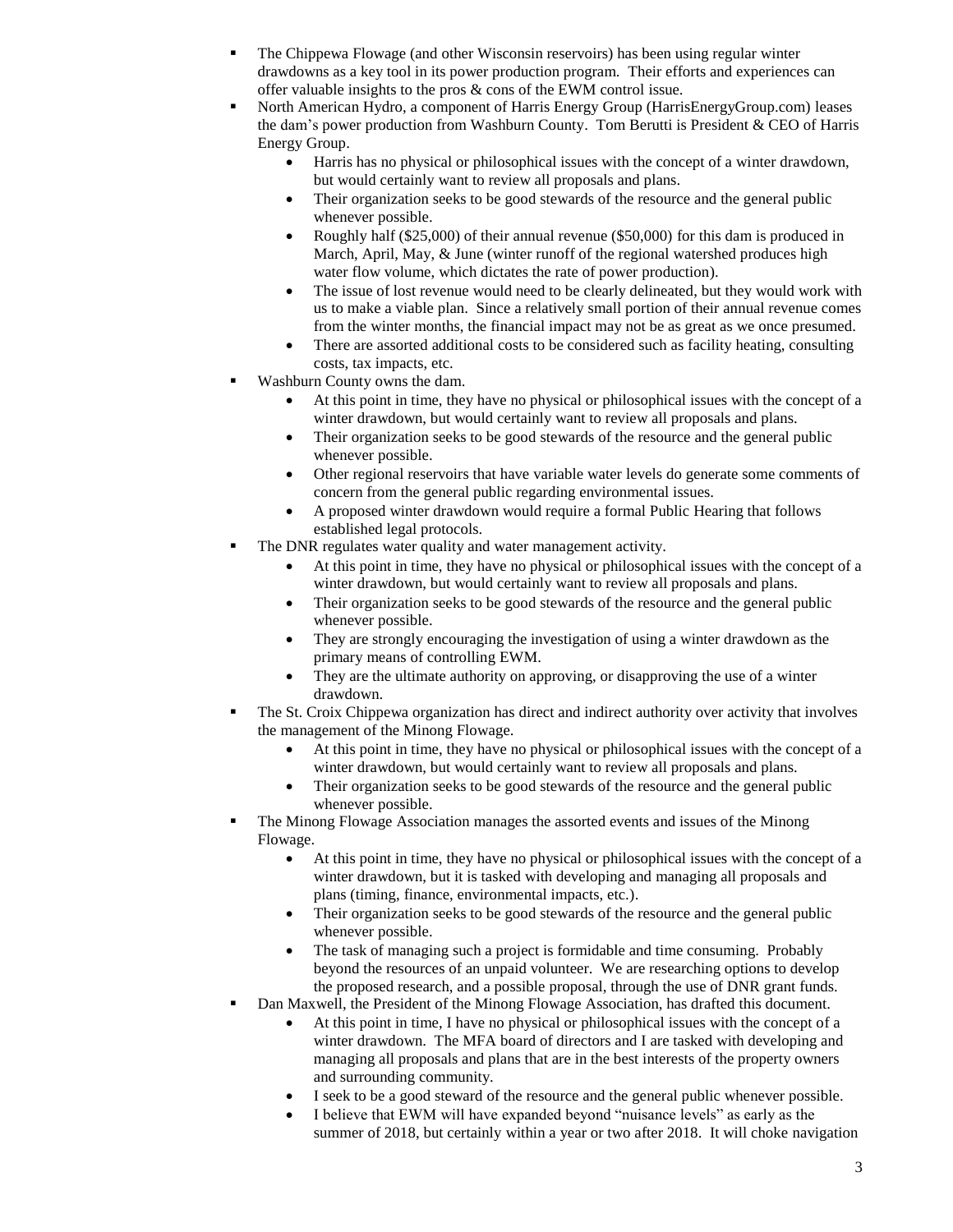- The Chippewa Flowage (and other Wisconsin reservoirs) has been using regular winter drawdowns as a key tool in its power production program. Their efforts and experiences can offer valuable insights to the pros & cons of the EWM control issue.
- North American Hydro, a component of Harris Energy Group (HarrisEnergyGroup.com) leases the dam's power production from Washburn County. Tom Berutti is President & CEO of Harris Energy Group.
	- Harris has no physical or philosophical issues with the concept of a winter drawdown, but would certainly want to review all proposals and plans.
	- Their organization seeks to be good stewards of the resource and the general public whenever possible.
	- Roughly half (\$25,000) of their annual revenue (\$50,000) for this dam is produced in March, April, May, & June (winter runoff of the regional watershed produces high water flow volume, which dictates the rate of power production).
	- The issue of lost revenue would need to be clearly delineated, but they would work with us to make a viable plan. Since a relatively small portion of their annual revenue comes from the winter months, the financial impact may not be as great as we once presumed.
	- There are assorted additional costs to be considered such as facility heating, consulting costs, tax impacts, etc.
- Washburn County owns the dam.
	- At this point in time, they have no physical or philosophical issues with the concept of a winter drawdown, but would certainly want to review all proposals and plans.
	- Their organization seeks to be good stewards of the resource and the general public whenever possible.
	- Other regional reservoirs that have variable water levels do generate some comments of concern from the general public regarding environmental issues.
	- A proposed winter drawdown would require a formal Public Hearing that follows established legal protocols.
- The DNR regulates water quality and water management activity.
	- At this point in time, they have no physical or philosophical issues with the concept of a winter drawdown, but would certainly want to review all proposals and plans.
	- Their organization seeks to be good stewards of the resource and the general public whenever possible.
	- They are strongly encouraging the investigation of using a winter drawdown as the primary means of controlling EWM.
	- They are the ultimate authority on approving, or disapproving the use of a winter drawdown.
- The St. Croix Chippewa organization has direct and indirect authority over activity that involves the management of the Minong Flowage.
	- At this point in time, they have no physical or philosophical issues with the concept of a winter drawdown, but would certainly want to review all proposals and plans.
	- Their organization seeks to be good stewards of the resource and the general public whenever possible.
- The Minong Flowage Association manages the assorted events and issues of the Minong Flowage.
	- At this point in time, they have no physical or philosophical issues with the concept of a winter drawdown, but it is tasked with developing and managing all proposals and plans (timing, finance, environmental impacts, etc.).
	- Their organization seeks to be good stewards of the resource and the general public whenever possible.
	- The task of managing such a project is formidable and time consuming. Probably beyond the resources of an unpaid volunteer. We are researching options to develop the proposed research, and a possible proposal, through the use of DNR grant funds.
- Dan Maxwell, the President of the Minong Flowage Association, has drafted this document.
	- At this point in time, I have no physical or philosophical issues with the concept of a winter drawdown. The MFA board of directors and I are tasked with developing and managing all proposals and plans that are in the best interests of the property owners and surrounding community.
	- I seek to be a good steward of the resource and the general public whenever possible.
	- I believe that EWM will have expanded beyond "nuisance levels" as early as the summer of 2018, but certainly within a year or two after 2018. It will choke navigation